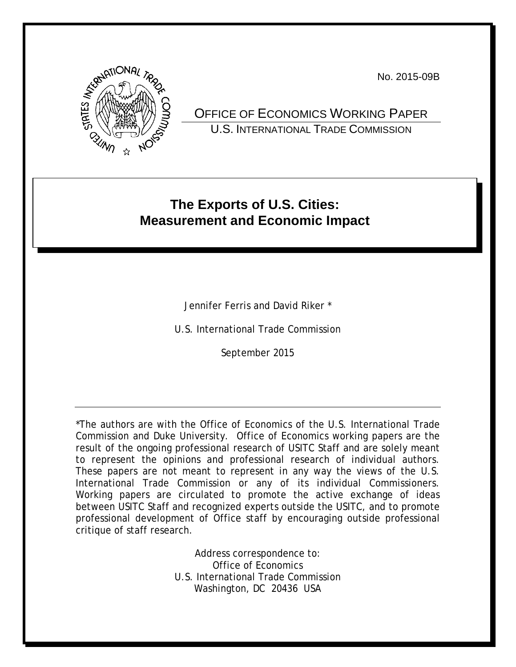No. 2015-09B



OFFICE OF ECONOMICS WORKING PAPER U.S. INTERNATIONAL TRADE COMMISSION

# **The Exports of U.S. Cities: Measurement and Economic Impact**

Jennifer Ferris and David Riker \*

U.S. International Trade Commission

September 2015

\*The authors are with the Office of Economics of the U.S. International Trade Commission and Duke University. Office of Economics working papers are the result of the ongoing professional research of USITC Staff and are solely meant to represent the opinions and professional research of individual authors. These papers are not meant to represent in any way the views of the U.S. International Trade Commission or any of its individual Commissioners. Working papers are circulated to promote the active exchange of ideas between USITC Staff and recognized experts outside the USITC, and to promote professional development of Office staff by encouraging outside professional critique of staff research.

> Address correspondence to: Office of Economics U.S. International Trade Commission Washington, DC 20436 USA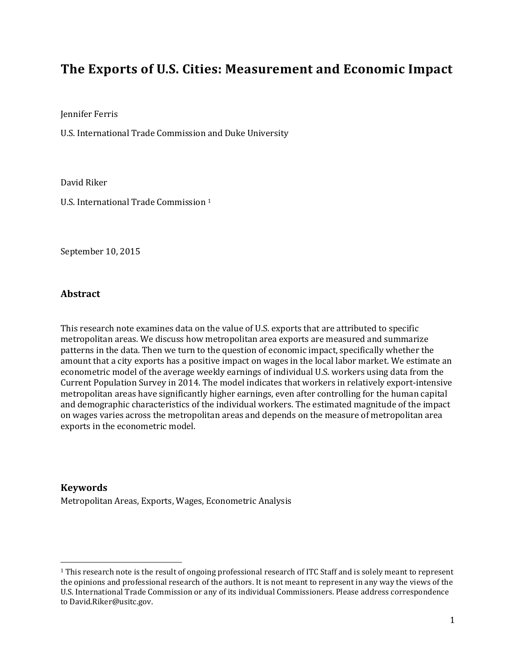## **The Exports of U.S. Cities: Measurement and Economic Impact**

Jennifer Ferris

U.S. International Trade Commission and Duke University

David Riker

U.S. International Trade Commission [1](#page-1-0)

September 10, 2015

#### **Abstract**

 $\overline{\phantom{a}}$ 

This research note examines data on the value of U.S. exports that are attributed to specific metropolitan areas. We discuss how metropolitan area exports are measured and summarize patterns in the data. Then we turn to the question of economic impact, specifically whether the amount that a city exports has a positive impact on wages in the local labor market. We estimate an econometric model of the average weekly earnings of individual U.S. workers using data from the Current Population Survey in 2014. The model indicates that workers in relatively export-intensive metropolitan areas have significantly higher earnings, even after controlling for the human capital and demographic characteristics of the individual workers. The estimated magnitude of the impact on wages varies across the metropolitan areas and depends on the measure of metropolitan area exports in the econometric model.

**Keywords** Metropolitan Areas, Exports, Wages, Econometric Analysis

<span id="page-1-0"></span><sup>&</sup>lt;sup>1</sup> This research note is the result of ongoing professional research of ITC Staff and is solely meant to represent the opinions and professional research of the authors. It is not meant to represent in any way the views of the U.S. International Trade Commission or any of its individual Commissioners. Please address correspondence to David.Riker@usitc.gov.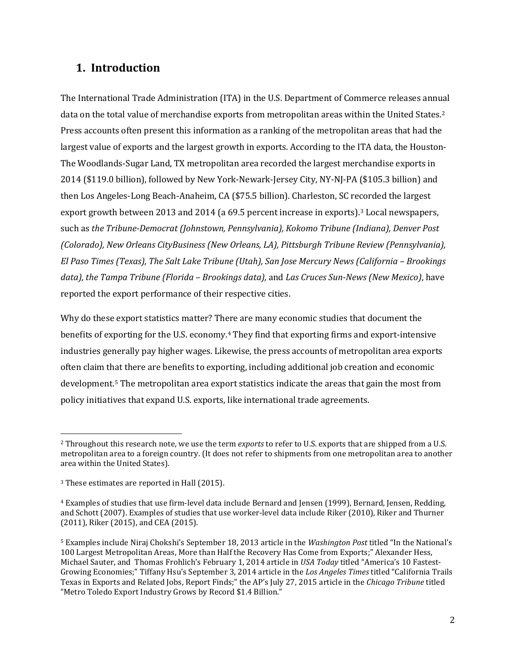#### **1. Introduction**

The International Trade Administration (ITA) in the U.S. Department of Commerce releases annual data on the total value of merchandise exports from metropolitan areas within the United States.<sup>[2](#page-2-0)</sup> Press accounts often present this information as a ranking of the metropolitan areas that had the largest value of exports and the largest growth in exports. According to the ITA data, the Houston-The Woodlands-Sugar Land, TX metropolitan area recorded the largest merchandise exports in 2014 (\$119.0 billion), followed by New York-Newark-Jersey City, NY-NJ-PA (\$105.3 billion) and then Los Angeles-Long Beach-Anaheim, CA (\$75.5 billion). Charleston, SC recorded the largest export growth between 2013 and 2014 (a 69.5 percent increase in exports).[3](#page-2-1) Local newspapers, such as *the Tribune-Democrat (Johnstown, Pennsylvania), Kokomo Tribune (Indiana), Denver Post (Colorado), New Orleans CityBusiness (New Orleans, LA), Pittsburgh Tribune Review (Pennsylvania), El Paso Times (Texas), The Salt Lake Tribune (Utah), San Jose Mercury News (California – Brookings data), the Tampa Tribune (Florida – Brookings data),* and *Las Cruces Sun-News (New Mexico)*, have reported the export performance of their respective cities.

Why do these export statistics matter? There are many economic studies that document the benefits of exporting for the U.S. economy.[4](#page-2-2) They find that exporting firms and export-intensive industries generally pay higher wages. Likewise, the press accounts of metropolitan area exports often claim that there are benefits to exporting, including additional job creation and economic development[.5](#page-2-3) The metropolitan area export statistics indicate the areas that gain the most from policy initiatives that expand U.S. exports, like international trade agreements.

l

<span id="page-2-0"></span><sup>2</sup> Throughout this research note, we use the term *exports* to refer to U.S. exports that are shipped from a U.S. metropolitan area to a foreign country. (It does not refer to shipments from one metropolitan area to another area within the United States).

<span id="page-2-1"></span><sup>&</sup>lt;sup>3</sup> These estimates are reported in Hall (2015).

<span id="page-2-2"></span><sup>4</sup> Examples of studies that use firm-level data include Bernard and Jensen (1999), Bernard, Jensen, Redding, and Schott (2007). Examples of studies that use worker-level data include Riker (2010), Riker and Thurner (2011), Riker (2015), and CEA (2015).

<span id="page-2-3"></span><sup>5</sup> Examples include Niraj Chokshi's September 18, 2013 article in the *Washington Post* titled "In the National's 100 Largest Metropolitan Areas, More than Half the Recovery Has Come from Exports;" Alexander Hess, Michael Sauter, and Thomas Frohlich's February 1, 2014 article in *USA Today* titled "America's 10 Fastest-Growing Economies;" Tiffany Hsu's September 3, 2014 article in the *Los Angeles Times* titled "California Trails Texas in Exports and Related Jobs, Report Finds;" the AP's July 27, 2015 article in the *Chicago Tribune* titled "Metro Toledo Export Industry Grows by Record \$1.4 Billion."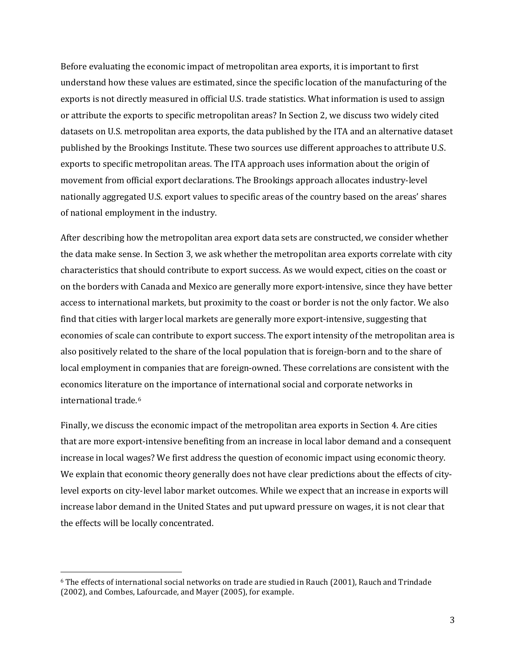Before evaluating the economic impact of metropolitan area exports, it is important to first understand how these values are estimated, since the specific location of the manufacturing of the exports is not directly measured in official U.S. trade statistics. What information is used to assign or attribute the exports to specific metropolitan areas? In Section 2, we discuss two widely cited datasets on U.S. metropolitan area exports, the data published by the ITA and an alternative dataset published by the Brookings Institute. These two sources use different approaches to attribute U.S. exports to specific metropolitan areas. The ITA approach uses information about the origin of movement from official export declarations. The Brookings approach allocates industry-level nationally aggregated U.S. export values to specific areas of the country based on the areas' shares of national employment in the industry.

After describing how the metropolitan area export data sets are constructed, we consider whether the data make sense. In Section 3, we ask whether the metropolitan area exports correlate with city characteristics that should contribute to export success. As we would expect, cities on the coast or on the borders with Canada and Mexico are generally more export-intensive, since they have better access to international markets, but proximity to the coast or border is not the only factor. We also find that cities with larger local markets are generally more export-intensive, suggesting that economies of scale can contribute to export success. The export intensity of the metropolitan area is also positively related to the share of the local population that is foreign-born and to the share of local employment in companies that are foreign-owned. These correlations are consistent with the economics literature on the importance of international social and corporate networks in international trade.[6](#page-3-0)

Finally, we discuss the economic impact of the metropolitan area exports in Section 4. Are cities that are more export-intensive benefiting from an increase in local labor demand and a consequent increase in local wages? We first address the question of economic impact using economic theory. We explain that economic theory generally does not have clear predictions about the effects of citylevel exports on city-level labor market outcomes. While we expect that an increase in exports will increase labor demand in the United States and put upward pressure on wages, it is not clear that the effects will be locally concentrated.

l

<span id="page-3-0"></span><sup>6</sup> The effects of international social networks on trade are studied in Rauch (2001), Rauch and Trindade (2002), and Combes, Lafourcade, and Mayer (2005), for example.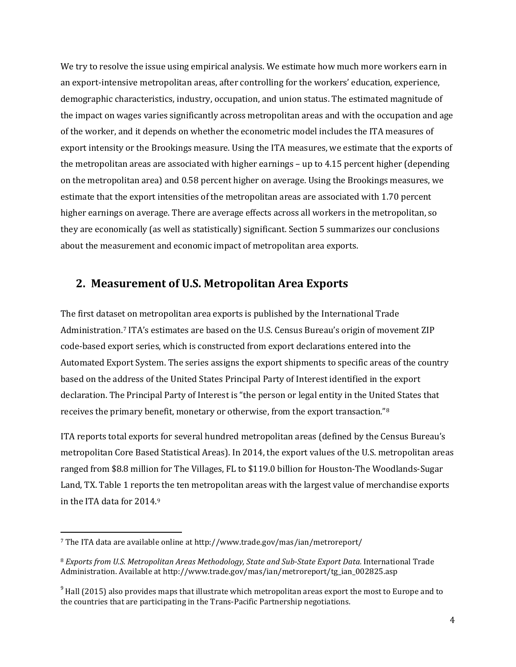We try to resolve the issue using empirical analysis. We estimate how much more workers earn in an export-intensive metropolitan areas, after controlling for the workers' education, experience, demographic characteristics, industry, occupation, and union status. The estimated magnitude of the impact on wages varies significantly across metropolitan areas and with the occupation and age of the worker, and it depends on whether the econometric model includes the ITA measures of export intensity or the Brookings measure. Using the ITA measures, we estimate that the exports of the metropolitan areas are associated with higher earnings – up to 4.15 percent higher (depending on the metropolitan area) and 0.58 percent higher on average. Using the Brookings measures, we estimate that the export intensities of the metropolitan areas are associated with 1.70 percent higher earnings on average. There are average effects across all workers in the metropolitan, so they are economically (as well as statistically) significant. Section 5 summarizes our conclusions about the measurement and economic impact of metropolitan area exports.

#### **2. Measurement of U.S. Metropolitan Area Exports**

The first dataset on metropolitan area exports is published by the International Trade Administration.[7](#page-4-0) ITA's estimates are based on the U.S. Census Bureau's origin of movement ZIP code-based export series, which is constructed from export declarations entered into the Automated Export System. The series assigns the export shipments to specific areas of the country based on the address of the United States Principal Party of Interest identified in the export declaration. The Principal Party of Interest is "the person or legal entity in the United States that receives the primary benefit, monetary or otherwise, from the export transaction."[8](#page-4-1)

ITA reports total exports for several hundred metropolitan areas (defined by the Census Bureau's metropolitan Core Based Statistical Areas). In 2014, the export values of the U.S. metropolitan areas ranged from \$8.8 million for The Villages, FL to \$119.0 billion for Houston-The Woodlands-Sugar Land, TX. Table 1 reports the ten metropolitan areas with the largest value of merchandise exports in the ITA data for 2014.[9](#page-4-2)

<span id="page-4-0"></span><sup>7</sup> The ITA data are available online at http://www.trade.gov/mas/ian/metroreport/

<span id="page-4-1"></span><sup>8</sup> *Exports from U.S. Metropolitan Areas Methodology, State and Sub-State Export Data.* International Trade Administration. Available at http://www.trade.gov/mas/ian/metroreport/tg\_ian\_002825.asp

<span id="page-4-2"></span> $9$  Hall (2015) also provides maps that illustrate which metropolitan areas export the most to Europe and to the countries that are participating in the Trans-Pacific Partnership negotiations.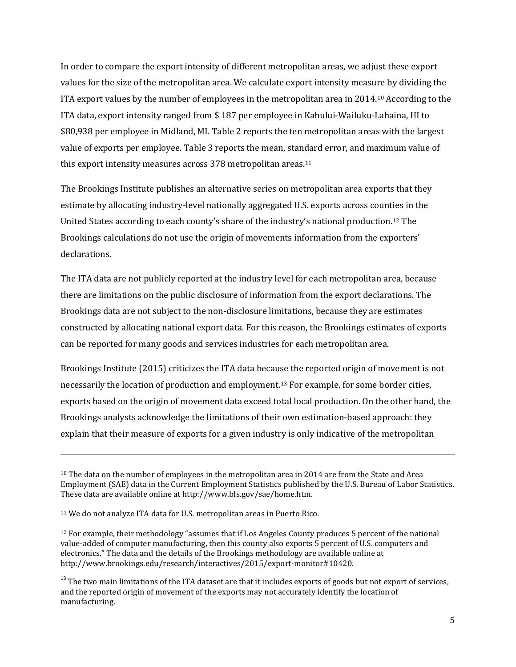In order to compare the export intensity of different metropolitan areas, we adjust these export values for the size of the metropolitan area. We calculate export intensity measure by dividing the ITA export values by the number of employees in the metropolitan area in 2014.[10](#page-5-0) According to the ITA data, export intensity ranged from \$ 187 per employee in Kahului-Wailuku-Lahaina, HI to \$80,938 per employee in Midland, MI. Table 2 reports the ten metropolitan areas with the largest value of exports per employee. Table 3 reports the mean, standard error, and maximum value of this export intensity measures across 378 metropolitan areas.[11](#page-5-1)

The Brookings Institute publishes an alternative series on metropolitan area exports that they estimate by allocating industry-level nationally aggregated U.S. exports across counties in the United States according to each county's share of the industry's national production.[12](#page-5-2) The Brookings calculations do not use the origin of movements information from the exporters' declarations.

The ITA data are not publicly reported at the industry level for each metropolitan area, because there are limitations on the public disclosure of information from the export declarations. The Brookings data are not subject to the non-disclosure limitations, because they are estimates constructed by allocating national export data. For this reason, the Brookings estimates of exports can be reported for many goods and services industries for each metropolitan area.

Brookings Institute (2015) criticizes the ITA data because the reported origin of movement is not necessarily the location of production and employment.[13](#page-5-3) For example, for some border cities, exports based on the origin of movement data exceed total local production. On the other hand, the Brookings analysts acknowledge the limitations of their own estimation-based approach: they explain that their measure of exports for a given industry is only indicative of the metropolitan

<span id="page-5-0"></span><sup>&</sup>lt;sup>10</sup> The data on the number of employees in the metropolitan area in 2014 are from the State and Area Employment (SAE) data in the Current Employment Statistics published by the U.S. Bureau of Labor Statistics. These data are available online at http://www.bls.gov/sae/home.htm.

<span id="page-5-1"></span><sup>11</sup> We do not analyze ITA data for U.S. metropolitan areas in Puerto Rico.

<span id="page-5-2"></span> $12$  For example, their methodology "assumes that if Los Angeles County produces 5 percent of the national value-added of computer manufacturing, then this county also exports 5 percent of U.S. computers and electronics." The data and the details of the Brookings methodology are available online at http://www.brookings.edu/research/interactives/2015/export-monitor#10420.

<span id="page-5-3"></span> $13$  The two main limitations of the ITA dataset are that it includes exports of goods but not export of services, and the reported origin of movement of the exports may not accurately identify the location of manufacturing.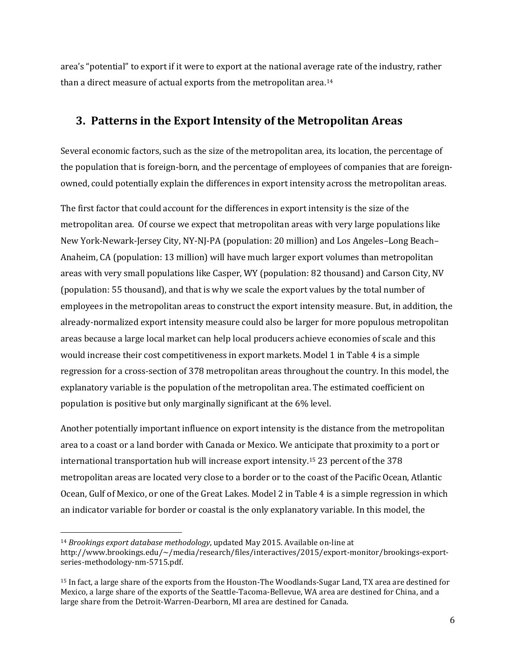area's "potential" to export if it were to export at the national average rate of the industry, rather than a direct measure of actual exports from the metropolitan area.[14](#page-6-0)

#### **3. Patterns in the Export Intensity of the Metropolitan Areas**

Several economic factors, such as the size of the metropolitan area, its location, the percentage of the population that is foreign-born, and the percentage of employees of companies that are foreignowned, could potentially explain the differences in export intensity across the metropolitan areas.

The first factor that could account for the differences in export intensity is the size of the metropolitan area. Of course we expect that metropolitan areas with very large populations like New York-Newark-Jersey City, NY-NJ-PA (population: 20 million) and Los Angeles–Long Beach– Anaheim, CA (population: 13 million) will have much larger export volumes than metropolitan areas with very small populations like Casper, WY (population: 82 thousand) and Carson City, NV (population: 55 thousand), and that is why we scale the export values by the total number of employees in the metropolitan areas to construct the export intensity measure. But, in addition, the already-normalized export intensity measure could also be larger for more populous metropolitan areas because a large local market can help local producers achieve economies of scale and this would increase their cost competitiveness in export markets. Model 1 in Table 4 is a simple regression for a cross-section of 378 metropolitan areas throughout the country. In this model, the explanatory variable is the population of the metropolitan area. The estimated coefficient on population is positive but only marginally significant at the 6% level.

Another potentially important influence on export intensity is the distance from the metropolitan area to a coast or a land border with Canada or Mexico. We anticipate that proximity to a port or international transportation hub will increase export intensity.[15](#page-6-1) 23 percent of the 378 metropolitan areas are located very close to a border or to the coast of the Pacific Ocean, Atlantic Ocean, Gulf of Mexico, or one of the Great Lakes. Model 2 in Table 4 is a simple regression in which an indicator variable for border or coastal is the only explanatory variable. In this model, the

<span id="page-6-0"></span><sup>14</sup> *Brookings export database methodology*, updated May 2015. Available on-line at http://www.brookings.edu/~/media/research/files/interactives/2015/export-monitor/brookings-exportseries-methodology-nm-5715.pdf.

<span id="page-6-1"></span><sup>15</sup> In fact, a large share of the exports from the Houston-The Woodlands-Sugar Land, TX area are destined for Mexico, a large share of the exports of the Seattle-Tacoma-Bellevue, WA area are destined for China, and a large share from the Detroit-Warren-Dearborn, MI area are destined for Canada.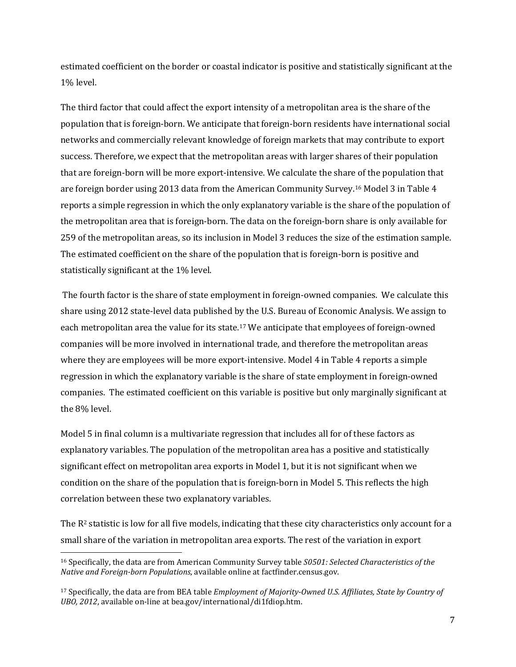estimated coefficient on the border or coastal indicator is positive and statistically significant at the 1% level.

The third factor that could affect the export intensity of a metropolitan area is the share of the population that is foreign-born. We anticipate that foreign-born residents have international social networks and commercially relevant knowledge of foreign markets that may contribute to export success. Therefore, we expect that the metropolitan areas with larger shares of their population that are foreign-born will be more export-intensive. We calculate the share of the population that are foreign border using 2013 data from the American Community Survey.[16](#page-7-0) Model 3 in Table 4 reports a simple regression in which the only explanatory variable is the share of the population of the metropolitan area that is foreign-born. The data on the foreign-born share is only available for 259 of the metropolitan areas, so its inclusion in Model 3 reduces the size of the estimation sample. The estimated coefficient on the share of the population that is foreign-born is positive and statistically significant at the 1% level.

The fourth factor is the share of state employment in foreign-owned companies. We calculate this share using 2012 state-level data published by the U.S. Bureau of Economic Analysis. We assign to each metropolitan area the value for its state.[17](#page-7-1) We anticipate that employees of foreign-owned companies will be more involved in international trade, and therefore the metropolitan areas where they are employees will be more export-intensive. Model 4 in Table 4 reports a simple regression in which the explanatory variable is the share of state employment in foreign-owned companies. The estimated coefficient on this variable is positive but only marginally significant at the 8% level.

Model 5 in final column is a multivariate regression that includes all for of these factors as explanatory variables. The population of the metropolitan area has a positive and statistically significant effect on metropolitan area exports in Model 1, but it is not significant when we condition on the share of the population that is foreign-born in Model 5. This reflects the high correlation between these two explanatory variables.

The  $R<sup>2</sup>$  statistic is low for all five models, indicating that these city characteristics only account for a small share of the variation in metropolitan area exports. The rest of the variation in export

<span id="page-7-0"></span><sup>16</sup> Specifically, the data are from American Community Survey table *S0501: Selected Characteristics of the Native and Foreign-born Populations*, available online at factfinder.census.gov.

<span id="page-7-1"></span><sup>17</sup> Specifically, the data are from BEA table *Employment of Majority-Owned U.S. Affiliates, State by Country of UBO, 2012*, available on-line at bea.gov/international/di1fdiop.htm.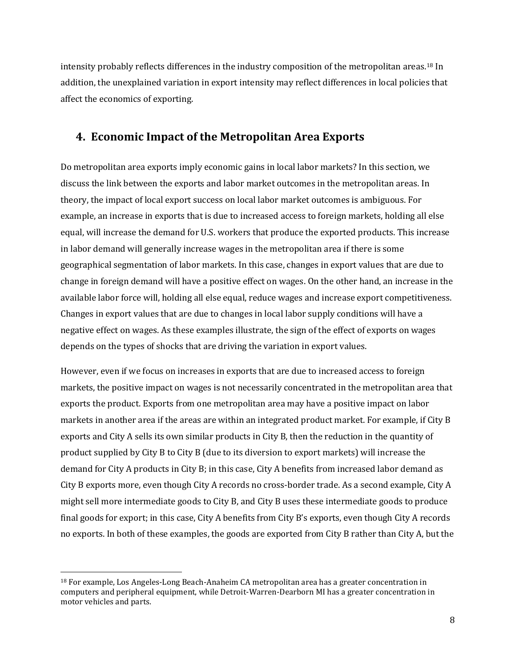intensity probably reflects differences in the industry composition of the metropolitan areas.[18](#page-8-0) In addition, the unexplained variation in export intensity may reflect differences in local policies that affect the economics of exporting.

#### **4. Economic Impact of the Metropolitan Area Exports**

Do metropolitan area exports imply economic gains in local labor markets? In this section, we discuss the link between the exports and labor market outcomes in the metropolitan areas. In theory, the impact of local export success on local labor market outcomes is ambiguous. For example, an increase in exports that is due to increased access to foreign markets, holding all else equal, will increase the demand for U.S. workers that produce the exported products. This increase in labor demand will generally increase wages in the metropolitan area if there is some geographical segmentation of labor markets. In this case, changes in export values that are due to change in foreign demand will have a positive effect on wages. On the other hand, an increase in the available labor force will, holding all else equal, reduce wages and increase export competitiveness. Changes in export values that are due to changes in local labor supply conditions will have a negative effect on wages. As these examples illustrate, the sign of the effect of exports on wages depends on the types of shocks that are driving the variation in export values.

However, even if we focus on increases in exports that are due to increased access to foreign markets, the positive impact on wages is not necessarily concentrated in the metropolitan area that exports the product. Exports from one metropolitan area may have a positive impact on labor markets in another area if the areas are within an integrated product market. For example, if City B exports and City A sells its own similar products in City B, then the reduction in the quantity of product supplied by City B to City B (due to its diversion to export markets) will increase the demand for City A products in City B; in this case, City A benefits from increased labor demand as City B exports more, even though City A records no cross-border trade. As a second example, City A might sell more intermediate goods to City B, and City B uses these intermediate goods to produce final goods for export; in this case, City A benefits from City B's exports, even though City A records no exports. In both of these examples, the goods are exported from City B rather than City A, but the

l

<span id="page-8-0"></span><sup>18</sup> For example, Los Angeles-Long Beach-Anaheim CA metropolitan area has a greater concentration in computers and peripheral equipment, while Detroit-Warren-Dearborn MI has a greater concentration in motor vehicles and parts.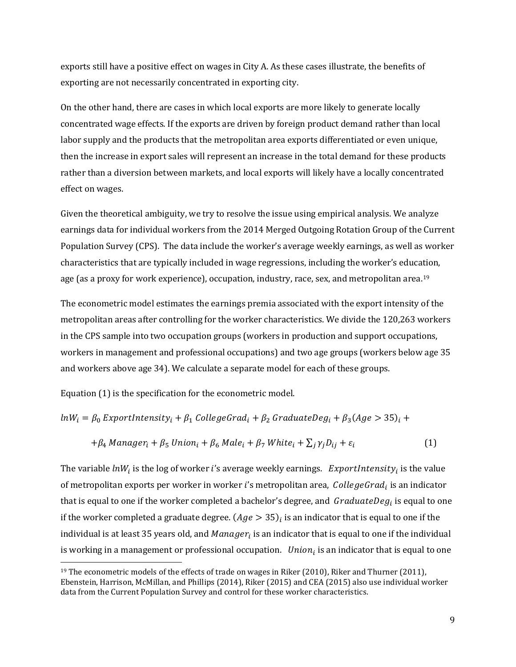exports still have a positive effect on wages in City A. As these cases illustrate, the benefits of exporting are not necessarily concentrated in exporting city.

On the other hand, there are cases in which local exports are more likely to generate locally concentrated wage effects. If the exports are driven by foreign product demand rather than local labor supply and the products that the metropolitan area exports differentiated or even unique, then the increase in export sales will represent an increase in the total demand for these products rather than a diversion between markets, and local exports will likely have a locally concentrated effect on wages.

Given the theoretical ambiguity, we try to resolve the issue using empirical analysis. We analyze earnings data for individual workers from the 2014 Merged Outgoing Rotation Group of the Current Population Survey (CPS). The data include the worker's average weekly earnings, as well as worker characteristics that are typically included in wage regressions, including the worker's education, age (as a proxy for work experience), occupation, industry, race, sex, and metropolitan area.<sup>[19](#page-9-0)</sup>

The econometric model estimates the earnings premia associated with the export intensity of the metropolitan areas after controlling for the worker characteristics. We divide the 120,263 workers in the CPS sample into two occupation groups (workers in production and support occupations, workers in management and professional occupations) and two age groups (workers below age 35 and workers above age 34). We calculate a separate model for each of these groups.

Equation (1) is the specification for the econometric model.

 $\overline{\phantom{a}}$ 

$$
ln W_i = \beta_0
$$
 ExportIntensity<sub>i</sub> +  $\beta_1$  CollegeGrad<sub>i</sub> +  $\beta_2$ GraduateDeg<sub>i</sub> +  $\beta_3$ (Age > 35)<sub>i</sub> +

$$
+\beta_4 \text{ Management}_i + \beta_5 \text{ Union}_i + \beta_6 \text{ Male}_i + \beta_7 \text{ White}_i + \sum_j \gamma_j D_{ij} + \varepsilon_i
$$
 (1)

The variable  $lnW_i$  is the log of worker i's average weekly earnings. *ExportIntensity<sub>i</sub>* is the value of metropolitan exports per worker in worker i's metropolitan area,  $CollegeGrad_i$  is an indicator that is equal to one if the worker completed a bachelor's degree, and  $GraduateDeg_i$  is equal to one if the worker completed a graduate degree.  $(Age > 35)$  is an indicator that is equal to one if the individual is at least 35 years old, and  $Manager_i$  is an indicator that is equal to one if the individual is working in a management or professional occupation. *Union<sub>i</sub>* is an indicator that is equal to one

<span id="page-9-0"></span><sup>&</sup>lt;sup>19</sup> The econometric models of the effects of trade on wages in Riker (2010), Riker and Thurner (2011), Ebenstein, Harrison, McMillan, and Phillips (2014), Riker (2015) and CEA (2015) also use individual worker data from the Current Population Survey and control for these worker characteristics.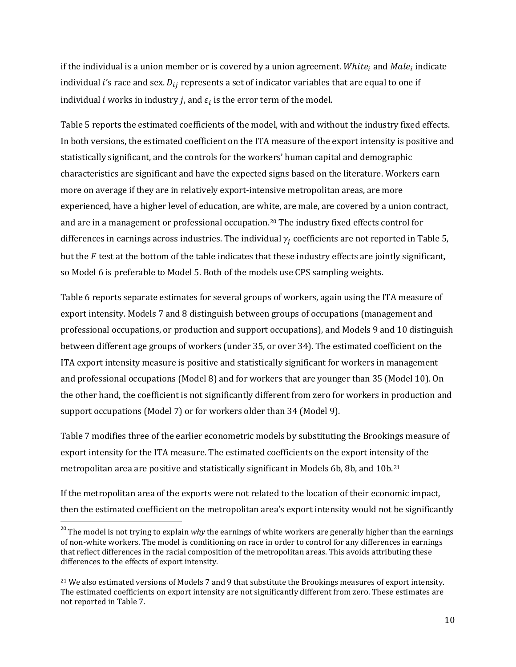if the individual is a union member or is covered by a union agreement. White<sub>i</sub> and  $Male<sub>i</sub>$  indicate individual i's race and sex.  $D_{ij}$  represents a set of indicator variables that are equal to one if individual *i* works in industry *j*, and  $\varepsilon_i$  is the error term of the model.

Table 5 reports the estimated coefficients of the model, with and without the industry fixed effects. In both versions, the estimated coefficient on the ITA measure of the export intensity is positive and statistically significant, and the controls for the workers' human capital and demographic characteristics are significant and have the expected signs based on the literature. Workers earn more on average if they are in relatively export-intensive metropolitan areas, are more experienced, have a higher level of education, are white, are male, are covered by a union contract, and are in a management or professional occupation.[20](#page-10-0) The industry fixed effects control for differences in earnings across industries. The individual  $\gamma_i$  coefficients are not reported in Table 5, but the  $F$  test at the bottom of the table indicates that these industry effects are jointly significant, so Model 6 is preferable to Model 5. Both of the models use CPS sampling weights.

Table 6 reports separate estimates for several groups of workers, again using the ITA measure of export intensity. Models 7 and 8 distinguish between groups of occupations (management and professional occupations, or production and support occupations), and Models 9 and 10 distinguish between different age groups of workers (under 35, or over 34). The estimated coefficient on the ITA export intensity measure is positive and statistically significant for workers in management and professional occupations (Model 8) and for workers that are younger than 35 (Model 10). On the other hand, the coefficient is not significantly different from zero for workers in production and support occupations (Model 7) or for workers older than 34 (Model 9).

Table 7 modifies three of the earlier econometric models by substituting the Brookings measure of export intensity for the ITA measure. The estimated coefficients on the export intensity of the metropolitan area are positive and statistically significant in Models 6b, 8b, and 10b.[21](#page-10-1)

If the metropolitan area of the exports were not related to the location of their economic impact, then the estimated coefficient on the metropolitan area's export intensity would not be significantly

<span id="page-10-0"></span><sup>&</sup>lt;sup>20</sup> The model is not trying to explain why the earnings of white workers are generally higher than the earnings of non-white workers. The model is conditioning on race in order to control for any differences in earnings that reflect differences in the racial composition of the metropolitan areas. This avoids attributing these differences to the effects of export intensity.

<span id="page-10-1"></span><sup>&</sup>lt;sup>21</sup> We also estimated versions of Models 7 and 9 that substitute the Brookings measures of export intensity. The estimated coefficients on export intensity are not significantly different from zero. These estimates are not reported in Table 7.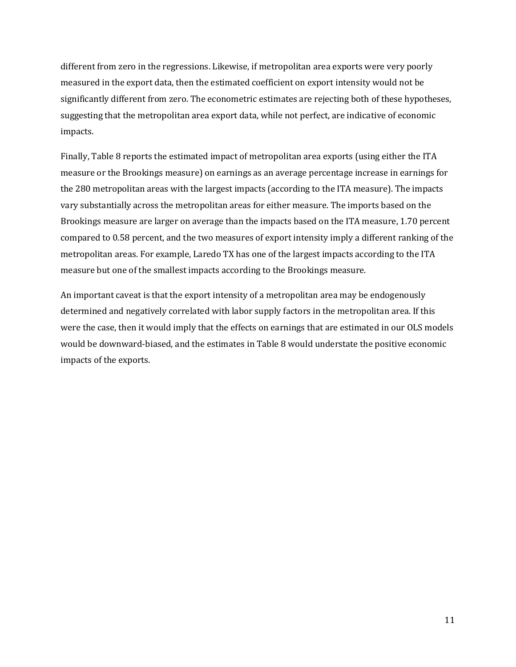different from zero in the regressions. Likewise, if metropolitan area exports were very poorly measured in the export data, then the estimated coefficient on export intensity would not be significantly different from zero. The econometric estimates are rejecting both of these hypotheses, suggesting that the metropolitan area export data, while not perfect, are indicative of economic impacts.

Finally, Table 8 reports the estimated impact of metropolitan area exports (using either the ITA measure or the Brookings measure) on earnings as an average percentage increase in earnings for the 280 metropolitan areas with the largest impacts (according to the ITA measure). The impacts vary substantially across the metropolitan areas for either measure. The imports based on the Brookings measure are larger on average than the impacts based on the ITA measure, 1.70 percent compared to 0.58 percent, and the two measures of export intensity imply a different ranking of the metropolitan areas. For example, Laredo TX has one of the largest impacts according to the ITA measure but one of the smallest impacts according to the Brookings measure.

An important caveat is that the export intensity of a metropolitan area may be endogenously determined and negatively correlated with labor supply factors in the metropolitan area. If this were the case, then it would imply that the effects on earnings that are estimated in our OLS models would be downward-biased, and the estimates in Table 8 would understate the positive economic impacts of the exports.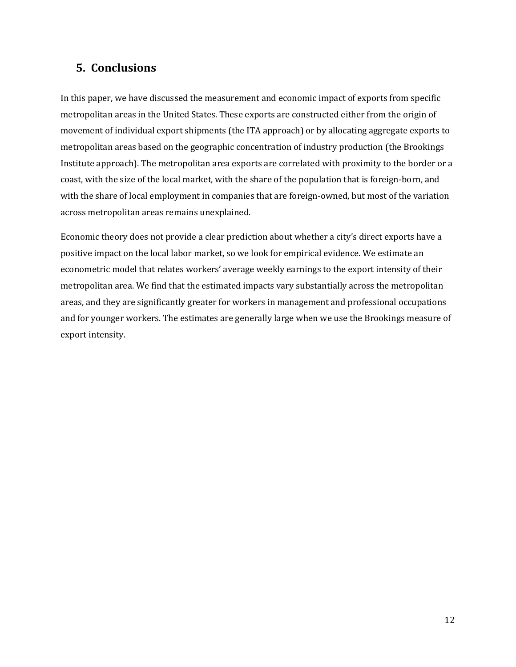#### **5. Conclusions**

In this paper, we have discussed the measurement and economic impact of exports from specific metropolitan areas in the United States. These exports are constructed either from the origin of movement of individual export shipments (the ITA approach) or by allocating aggregate exports to metropolitan areas based on the geographic concentration of industry production (the Brookings Institute approach). The metropolitan area exports are correlated with proximity to the border or a coast, with the size of the local market, with the share of the population that is foreign-born, and with the share of local employment in companies that are foreign-owned, but most of the variation across metropolitan areas remains unexplained.

Economic theory does not provide a clear prediction about whether a city's direct exports have a positive impact on the local labor market, so we look for empirical evidence. We estimate an econometric model that relates workers' average weekly earnings to the export intensity of their metropolitan area. We find that the estimated impacts vary substantially across the metropolitan areas, and they are significantly greater for workers in management and professional occupations and for younger workers. The estimates are generally large when we use the Brookings measure of export intensity.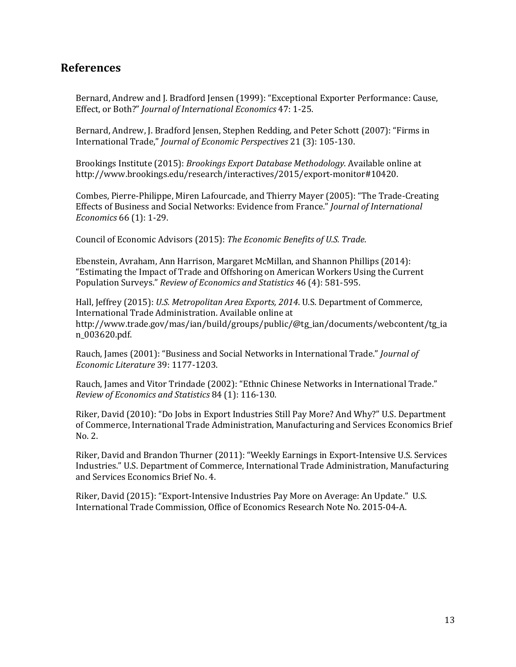#### **References**

Bernard, Andrew and J. Bradford Jensen (1999): "Exceptional Exporter Performance: Cause, Effect, or Both?" *Journal of International Economics* 47: 1-25.

Bernard, Andrew, J. Bradford Jensen, Stephen Redding, and Peter Schott (2007): "Firms in International Trade," *Journal of Economic Perspectives* 21 (3): 105-130.

Brookings Institute (2015): *Brookings Export Database Methodology*. Available online at http://www.brookings.edu/research/interactives/2015/export-monitor#10420.

Combes, Pierre-Philippe, Miren Lafourcade, and Thierry Mayer (2005): "The Trade-Creating Effects of Business and Social Networks: Evidence from France." *Journal of International Economics* 66 (1): 1-29.

Council of Economic Advisors (2015): *The Economic Benefits of U.S. Trade*.

Ebenstein, Avraham, Ann Harrison, Margaret McMillan, and Shannon Phillips (2014): "Estimating the Impact of Trade and Offshoring on American Workers Using the Current Population Surveys." *Review of Economics and Statistics* 46 (4): 581-595.

Hall, Jeffrey (2015): *U.S. Metropolitan Area Exports, 2014*. U.S. Department of Commerce, International Trade Administration. Available online at http://www.trade.gov/mas/ian/build/groups/public/@tg\_ian/documents/webcontent/tg\_ia n\_003620.pdf.

Rauch, James (2001): "Business and Social Networks in International Trade." *Journal of Economic Literature* 39: 1177-1203.

Rauch, James and Vitor Trindade (2002): "Ethnic Chinese Networks in International Trade." *Review of Economics and Statistics* 84 (1): 116-130.

Riker, David (2010): "Do Jobs in Export Industries Still Pay More? And Why?" U.S. Department of Commerce, International Trade Administration, Manufacturing and Services Economics Brief No. 2.

Riker, David and Brandon Thurner (2011): "Weekly Earnings in Export-Intensive U.S. Services Industries." U.S. Department of Commerce, International Trade Administration, Manufacturing and Services Economics Brief No. 4.

Riker, David (2015): "Export-Intensive Industries Pay More on Average: An Update." U.S. International Trade Commission, Office of Economics Research Note No. 2015-04-A.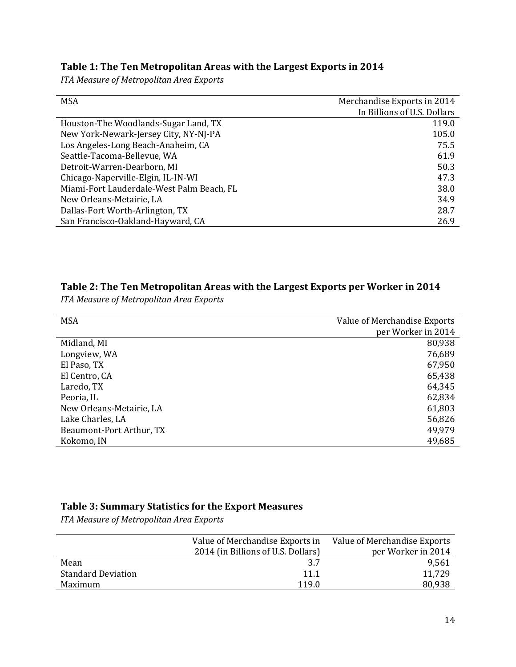#### **Table 1: The Ten Metropolitan Areas with the Largest Exports in 2014**

*ITA Measure of Metropolitan Area Exports*

| <b>MSA</b>                                | Merchandise Exports in 2014 |
|-------------------------------------------|-----------------------------|
|                                           | In Billions of U.S. Dollars |
| Houston-The Woodlands-Sugar Land, TX      | 119.0                       |
| New York-Newark-Jersey City, NY-NJ-PA     | 105.0                       |
| Los Angeles-Long Beach-Anaheim, CA        | 75.5                        |
| Seattle-Tacoma-Bellevue, WA               | 61.9                        |
| Detroit-Warren-Dearborn, MI               | 50.3                        |
| Chicago-Naperville-Elgin, IL-IN-WI        | 47.3                        |
| Miami-Fort Lauderdale-West Palm Beach, FL | 38.0                        |
| New Orleans-Metairie, LA                  | 34.9                        |
| Dallas-Fort Worth-Arlington, TX           | 28.7                        |
| San Francisco-Oakland-Hayward, CA         | 26.9                        |

#### **Table 2: The Ten Metropolitan Areas with the Largest Exports per Worker in 2014**

*ITA Measure of Metropolitan Area Exports*

| <b>MSA</b>               | Value of Merchandise Exports |
|--------------------------|------------------------------|
|                          | per Worker in 2014           |
| Midland, MI              | 80,938                       |
| Longview, WA             | 76,689                       |
| El Paso, TX              | 67,950                       |
| El Centro, CA            | 65,438                       |
| Laredo, TX               | 64,345                       |
| Peoria, IL               | 62,834                       |
| New Orleans-Metairie, LA | 61,803                       |
| Lake Charles, LA         | 56,826                       |
| Beaumont-Port Arthur, TX | 49,979                       |
| Kokomo, IN               | 49,685                       |

#### **Table 3: Summary Statistics for the Export Measures**

*ITA Measure of Metropolitan Area Exports*

| Value of Merchandise Exports in    | Value of Merchandise Exports |
|------------------------------------|------------------------------|
| 2014 (in Billions of U.S. Dollars) | per Worker in 2014           |
| 3.7                                | 9,561                        |
| 11.1                               | 11,729                       |
| 119.0                              | 80,938                       |
|                                    |                              |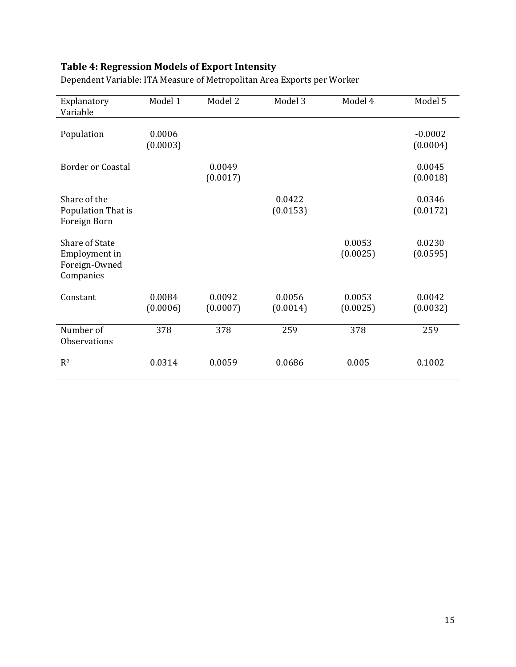## **Table 4: Regression Models of Export Intensity**

| Explanatory<br>Variable                                       | Model 1            | Model 2            | Model 3            | Model 4            | Model 5               |
|---------------------------------------------------------------|--------------------|--------------------|--------------------|--------------------|-----------------------|
| Population                                                    | 0.0006<br>(0.0003) |                    |                    |                    | $-0.0002$<br>(0.0004) |
| <b>Border or Coastal</b>                                      |                    | 0.0049<br>(0.0017) |                    |                    | 0.0045<br>(0.0018)    |
| Share of the<br>Population That is<br>Foreign Born            |                    |                    | 0.0422<br>(0.0153) |                    | 0.0346<br>(0.0172)    |
| Share of State<br>Employment in<br>Foreign-Owned<br>Companies |                    |                    |                    | 0.0053<br>(0.0025) | 0.0230<br>(0.0595)    |
| Constant                                                      | 0.0084<br>(0.0006) | 0.0092<br>(0.0007) | 0.0056<br>(0.0014) | 0.0053<br>(0.0025) | 0.0042<br>(0.0032)    |
| Number of<br><b>Observations</b>                              | 378                | 378                | 259                | 378                | 259                   |
| $R^2$                                                         | 0.0314             | 0.0059             | 0.0686             | 0.005              | 0.1002                |

Dependent Variable: ITA Measure of Metropolitan Area Exports per Worker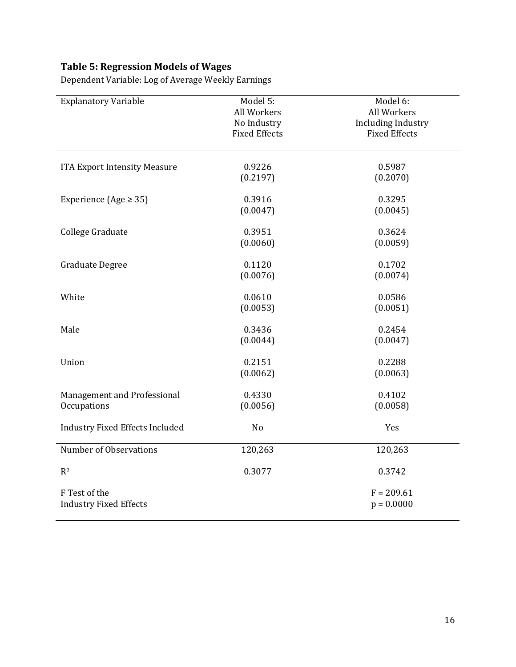## **Table 5: Regression Models of Wages**

| <b>Explanatory Variable</b>                    | Model 5:<br>All Workers<br>No Industry<br><b>Fixed Effects</b> | Model 6:<br>All Workers<br><b>Including Industry</b><br><b>Fixed Effects</b> |
|------------------------------------------------|----------------------------------------------------------------|------------------------------------------------------------------------------|
| <b>ITA Export Intensity Measure</b>            | 0.9226<br>(0.2197)                                             | 0.5987<br>(0.2070)                                                           |
| Experience (Age $\ge$ 35)                      | 0.3916<br>(0.0047)                                             | 0.3295<br>(0.0045)                                                           |
| College Graduate                               | 0.3951<br>(0.0060)                                             | 0.3624<br>(0.0059)                                                           |
| <b>Graduate Degree</b>                         | 0.1120<br>(0.0076)                                             | 0.1702<br>(0.0074)                                                           |
| White                                          | 0.0610<br>(0.0053)                                             | 0.0586<br>(0.0051)                                                           |
| Male                                           | 0.3436<br>(0.0044)                                             | 0.2454<br>(0.0047)                                                           |
| Union                                          | 0.2151<br>(0.0062)                                             | 0.2288<br>(0.0063)                                                           |
| Management and Professional<br>Occupations     | 0.4330<br>(0.0056)                                             | 0.4102<br>(0.0058)                                                           |
| <b>Industry Fixed Effects Included</b>         | N <sub>o</sub>                                                 | Yes                                                                          |
| Number of Observations                         | 120,263                                                        | 120,263                                                                      |
| R <sup>2</sup>                                 | 0.3077                                                         | 0.3742                                                                       |
| F Test of the<br><b>Industry Fixed Effects</b> |                                                                | $F = 209.61$<br>$p = 0.0000$                                                 |

Dependent Variable: Log of Average Weekly Earnings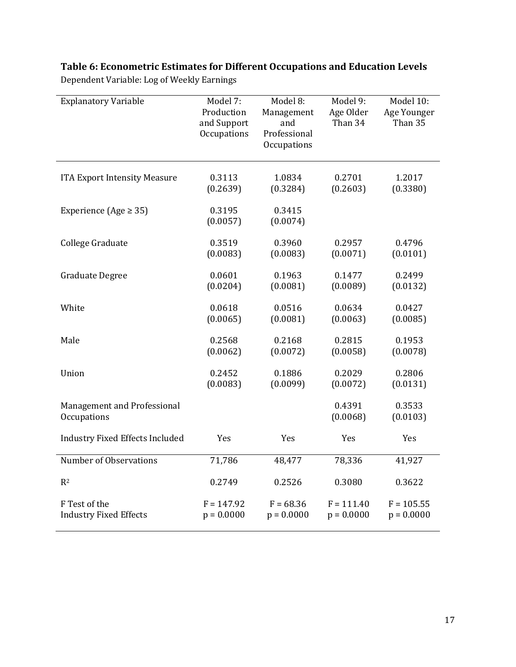## **Table 6: Econometric Estimates for Different Occupations and Education Levels**

| <b>Explanatory Variable</b>                | Model 7:<br>Production<br>and Support<br>Occupations | Model 8:<br>Management<br>and<br>Professional<br>Occupations | Model 9:<br>Age Older<br>Than 34 | Model 10:<br>Age Younger<br>Than 35 |
|--------------------------------------------|------------------------------------------------------|--------------------------------------------------------------|----------------------------------|-------------------------------------|
| <b>ITA Export Intensity Measure</b>        | 0.3113                                               | 1.0834                                                       | 0.2701                           | 1.2017                              |
|                                            | (0.2639)                                             | (0.3284)                                                     | (0.2603)                         | (0.3380)                            |
| Experience (Age $\ge$ 35)                  | 0.3195<br>(0.0057)                                   | 0.3415<br>(0.0074)                                           |                                  |                                     |
| College Graduate                           | 0.3519                                               | 0.3960                                                       | 0.2957                           | 0.4796                              |
|                                            | (0.0083)                                             | (0.0083)                                                     | (0.0071)                         | (0.0101)                            |
| <b>Graduate Degree</b>                     | 0.0601                                               | 0.1963                                                       | 0.1477                           | 0.2499                              |
|                                            | (0.0204)                                             | (0.0081)                                                     | (0.0089)                         | (0.0132)                            |
| White                                      | 0.0618                                               | 0.0516                                                       | 0.0634                           | 0.0427                              |
|                                            | (0.0065)                                             | (0.0081)                                                     | (0.0063)                         | (0.0085)                            |
| Male                                       | 0.2568                                               | 0.2168                                                       | 0.2815                           | 0.1953                              |
|                                            | (0.0062)                                             | (0.0072)                                                     | (0.0058)                         | (0.0078)                            |
| Union                                      | 0.2452                                               | 0.1886                                                       | 0.2029                           | 0.2806                              |
|                                            | (0.0083)                                             | (0.0099)                                                     | (0.0072)                         | (0.0131)                            |
| Management and Professional<br>Occupations |                                                      |                                                              | 0.4391<br>(0.0068)               | 0.3533<br>(0.0103)                  |
| <b>Industry Fixed Effects Included</b>     | Yes                                                  | Yes                                                          | Yes                              | Yes                                 |
| Number of Observations                     | 71,786                                               | 48,477                                                       | 78,336                           | 41,927                              |
| R <sup>2</sup>                             | 0.2749                                               | 0.2526                                                       | 0.3080                           | 0.3622                              |
| F Test of the                              | $F = 147.92$                                         | $F = 68.36$                                                  | $F = 111.40$                     | $F = 105.55$                        |
| <b>Industry Fixed Effects</b>              | $p = 0.0000$                                         | $p = 0.0000$                                                 | $p = 0.0000$                     | $p = 0.0000$                        |

Dependent Variable: Log of Weekly Earnings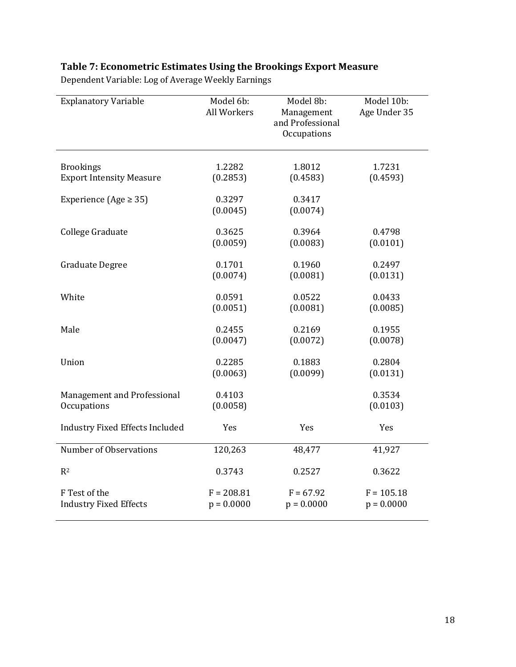## **Table 7: Econometric Estimates Using the Brookings Export Measure**

| <b>Explanatory Variable</b>            | Model 6b:<br>All Workers | Model 8b:<br>Management<br>and Professional<br>Occupations | Model 10b:<br>Age Under 35 |
|----------------------------------------|--------------------------|------------------------------------------------------------|----------------------------|
| <b>Brookings</b>                       | 1.2282                   | 1.8012                                                     | 1.7231                     |
| <b>Export Intensity Measure</b>        | (0.2853)                 | (0.4583)                                                   | (0.4593)                   |
| Experience (Age $\geq$ 35)             | 0.3297<br>(0.0045)       | 0.3417<br>(0.0074)                                         |                            |
| College Graduate                       | 0.3625                   | 0.3964                                                     | 0.4798                     |
|                                        | (0.0059)                 | (0.0083)                                                   | (0.0101)                   |
| <b>Graduate Degree</b>                 | 0.1701                   | 0.1960                                                     | 0.2497                     |
|                                        | (0.0074)                 | (0.0081)                                                   | (0.0131)                   |
| White                                  | 0.0591                   | 0.0522                                                     | 0.0433                     |
|                                        | (0.0051)                 | (0.0081)                                                   | (0.0085)                   |
| Male                                   | 0.2455                   | 0.2169                                                     | 0.1955                     |
|                                        | (0.0047)                 | (0.0072)                                                   | (0.0078)                   |
| Union                                  | 0.2285                   | 0.1883                                                     | 0.2804                     |
|                                        | (0.0063)                 | (0.0099)                                                   | (0.0131)                   |
| Management and Professional            | 0.4103                   |                                                            | 0.3534                     |
| Occupations                            | (0.0058)                 |                                                            | (0.0103)                   |
| <b>Industry Fixed Effects Included</b> | Yes                      | Yes                                                        | Yes                        |
| Number of Observations                 | 120,263                  | 48,477                                                     | 41,927                     |
| R <sup>2</sup>                         | 0.3743                   | 0.2527                                                     | 0.3622                     |
| F Test of the                          | $F = 208.81$             | $F = 67.92$                                                | $F = 105.18$               |
| <b>Industry Fixed Effects</b>          | $p = 0.0000$             | $p = 0.0000$                                               | $p = 0.0000$               |

Dependent Variable: Log of Average Weekly Earnings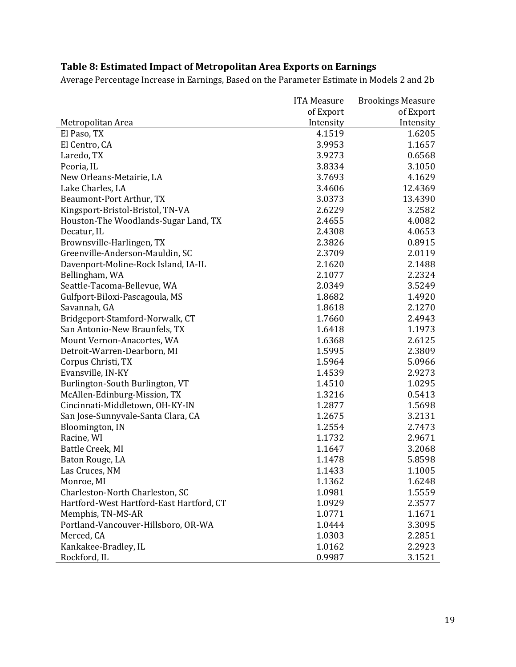|                                          | <b>ITA Measure</b> | <b>Brookings Measure</b> |
|------------------------------------------|--------------------|--------------------------|
|                                          | of Export          | of Export                |
| Metropolitan Area                        | Intensity          | Intensity                |
| El Paso, TX                              | 4.1519             | 1.6205                   |
| El Centro, CA                            | 3.9953             | 1.1657                   |
| Laredo, TX                               | 3.9273             | 0.6568                   |
| Peoria, IL                               | 3.8334             | 3.1050                   |
| New Orleans-Metairie, LA                 | 3.7693             | 4.1629                   |
| Lake Charles, LA                         | 3.4606             | 12.4369                  |
| Beaumont-Port Arthur, TX                 | 3.0373             | 13.4390                  |
| Kingsport-Bristol-Bristol, TN-VA         | 2.6229             | 3.2582                   |
| Houston-The Woodlands-Sugar Land, TX     | 2.4655             | 4.0082                   |
| Decatur, IL                              | 2.4308             | 4.0653                   |
| Brownsville-Harlingen, TX                | 2.3826             | 0.8915                   |
| Greenville-Anderson-Mauldin, SC          | 2.3709             | 2.0119                   |
| Davenport-Moline-Rock Island, IA-IL      | 2.1620             | 2.1488                   |
| Bellingham, WA                           | 2.1077             | 2.2324                   |
| Seattle-Tacoma-Bellevue, WA              | 2.0349             | 3.5249                   |
| Gulfport-Biloxi-Pascagoula, MS           | 1.8682             | 1.4920                   |
| Savannah, GA                             | 1.8618             | 2.1270                   |
| Bridgeport-Stamford-Norwalk, CT          | 1.7660             | 2.4943                   |
| San Antonio-New Braunfels, TX            | 1.6418             | 1.1973                   |
| Mount Vernon-Anacortes, WA               | 1.6368             | 2.6125                   |
| Detroit-Warren-Dearborn, MI              | 1.5995             | 2.3809                   |
| Corpus Christi, TX                       | 1.5964             | 5.0966                   |
| Evansville, IN-KY                        | 1.4539             | 2.9273                   |
| Burlington-South Burlington, VT          | 1.4510             | 1.0295                   |
| McAllen-Edinburg-Mission, TX             | 1.3216             | 0.5413                   |
| Cincinnati-Middletown, OH-KY-IN          | 1.2877             | 1.5698                   |
| San Jose-Sunnyvale-Santa Clara, CA       | 1.2675             | 3.2131                   |
| Bloomington, IN                          | 1.2554             | 2.7473                   |
| Racine, WI                               | 1.1732             | 2.9671                   |
| Battle Creek, MI                         | 1.1647             | 3.2068                   |
| Baton Rouge, LA                          | 1.1478             | 5.8598                   |
| Las Cruces, NM                           | 1.1433             | 1.1005                   |
| Monroe, MI                               | 1.1362             | 1.6248                   |
| Charleston-North Charleston, SC          | 1.0981             | 1.5559                   |
| Hartford-West Hartford-East Hartford, CT | 1.0929             | 2.3577                   |
| Memphis, TN-MS-AR                        | 1.0771             | 1.1671                   |
| Portland-Vancouver-Hillsboro, OR-WA      | 1.0444             | 3.3095                   |
| Merced, CA                               | 1.0303             | 2.2851                   |
| Kankakee-Bradley, IL                     | 1.0162             | 2.2923                   |
| Rockford, IL                             | 0.9987             | 3.1521                   |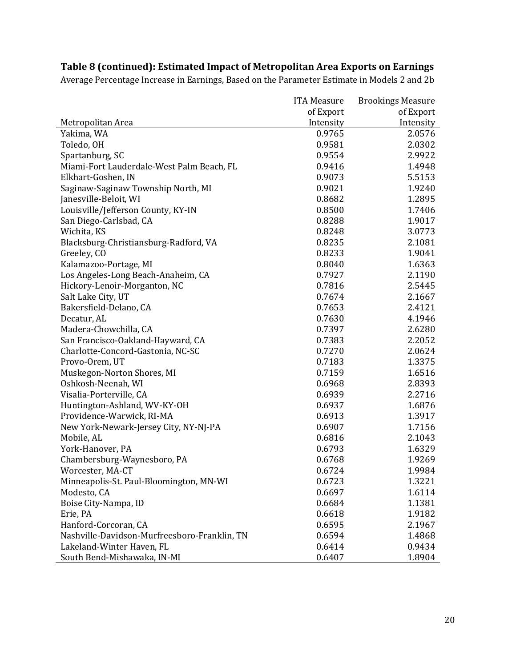|                                              | <b>ITA Measure</b> | <b>Brookings Measure</b> |
|----------------------------------------------|--------------------|--------------------------|
|                                              | of Export          | of Export                |
| Metropolitan Area                            | Intensity          | Intensity                |
| Yakima, WA                                   | 0.9765             | 2.0576                   |
| Toledo, OH                                   | 0.9581             | 2.0302                   |
| Spartanburg, SC                              | 0.9554             | 2.9922                   |
| Miami-Fort Lauderdale-West Palm Beach, FL    | 0.9416             | 1.4948                   |
| Elkhart-Goshen, IN                           | 0.9073             | 5.5153                   |
| Saginaw-Saginaw Township North, MI           | 0.9021             | 1.9240                   |
| Janesville-Beloit, WI                        | 0.8682             | 1.2895                   |
| Louisville/Jefferson County, KY-IN           | 0.8500             | 1.7406                   |
| San Diego-Carlsbad, CA                       | 0.8288             | 1.9017                   |
| Wichita, KS                                  | 0.8248             | 3.0773                   |
| Blacksburg-Christiansburg-Radford, VA        | 0.8235             | 2.1081                   |
| Greeley, CO                                  | 0.8233             | 1.9041                   |
| Kalamazoo-Portage, MI                        | 0.8040             | 1.6363                   |
| Los Angeles-Long Beach-Anaheim, CA           | 0.7927             | 2.1190                   |
| Hickory-Lenoir-Morganton, NC                 | 0.7816             | 2.5445                   |
| Salt Lake City, UT                           | 0.7674             | 2.1667                   |
| Bakersfield-Delano, CA                       | 0.7653             | 2.4121                   |
| Decatur, AL                                  | 0.7630             | 4.1946                   |
| Madera-Chowchilla, CA                        | 0.7397             | 2.6280                   |
| San Francisco-Oakland-Hayward, CA            | 0.7383             | 2.2052                   |
| Charlotte-Concord-Gastonia, NC-SC            | 0.7270             | 2.0624                   |
| Provo-Orem, UT                               | 0.7183             | 1.3375                   |
| Muskegon-Norton Shores, MI                   | 0.7159             | 1.6516                   |
| Oshkosh-Neenah, WI                           | 0.6968             | 2.8393                   |
| Visalia-Porterville, CA                      | 0.6939             | 2.2716                   |
| Huntington-Ashland, WV-KY-OH                 | 0.6937             | 1.6876                   |
| Providence-Warwick, RI-MA                    | 0.6913             | 1.3917                   |
| New York-Newark-Jersey City, NY-NJ-PA        | 0.6907             | 1.7156                   |
| Mobile, AL                                   | 0.6816             | 2.1043                   |
| York-Hanover, PA                             | 0.6793             | 1.6329                   |
| Chambersburg-Waynesboro, PA                  | 0.6768             | 1.9269                   |
| Worcester, MA-CT                             | 0.6724             | 1.9984                   |
| Minneapolis-St. Paul-Bloomington, MN-WI      | 0.6723             | 1.3221                   |
| Modesto, CA                                  | 0.6697             | 1.6114                   |
| Boise City-Nampa, ID                         | 0.6684             | 1.1381                   |
| Erie, PA                                     | 0.6618             | 1.9182                   |
| Hanford-Corcoran, CA                         | 0.6595             | 2.1967                   |
| Nashville-Davidson-Murfreesboro-Franklin, TN | 0.6594             | 1.4868                   |
| Lakeland-Winter Haven, FL                    | 0.6414             | 0.9434                   |
| South Bend-Mishawaka, IN-MI                  | 0.6407             | 1.8904                   |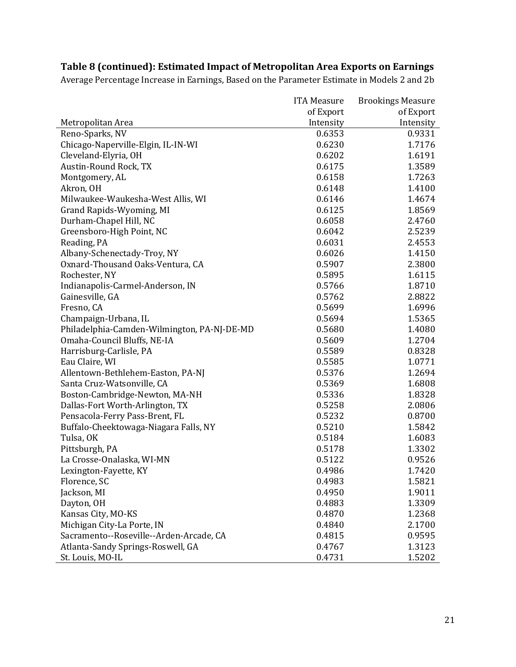|                                             | <b>ITA Measure</b> | <b>Brookings Measure</b> |
|---------------------------------------------|--------------------|--------------------------|
|                                             | of Export          | of Export                |
| Metropolitan Area                           | Intensity          | Intensity                |
| Reno-Sparks, NV                             | 0.6353             | 0.9331                   |
| Chicago-Naperville-Elgin, IL-IN-WI          | 0.6230             | 1.7176                   |
| Cleveland-Elyria, OH                        | 0.6202             | 1.6191                   |
| Austin-Round Rock, TX                       | 0.6175             | 1.3589                   |
| Montgomery, AL                              | 0.6158             | 1.7263                   |
| Akron, OH                                   | 0.6148             | 1.4100                   |
| Milwaukee-Waukesha-West Allis, WI           | 0.6146             | 1.4674                   |
| Grand Rapids-Wyoming, MI                    | 0.6125             | 1.8569                   |
| Durham-Chapel Hill, NC                      | 0.6058             | 2.4760                   |
| Greensboro-High Point, NC                   | 0.6042             | 2.5239                   |
| Reading, PA                                 | 0.6031             | 2.4553                   |
| Albany-Schenectady-Troy, NY                 | 0.6026             | 1.4150                   |
| Oxnard-Thousand Oaks-Ventura, CA            | 0.5907             | 2.3800                   |
| Rochester, NY                               | 0.5895             | 1.6115                   |
| Indianapolis-Carmel-Anderson, IN            | 0.5766             | 1.8710                   |
| Gainesville, GA                             | 0.5762             | 2.8822                   |
| Fresno, CA                                  | 0.5699             | 1.6996                   |
| Champaign-Urbana, IL                        | 0.5694             | 1.5365                   |
| Philadelphia-Camden-Wilmington, PA-NJ-DE-MD | 0.5680             | 1.4080                   |
| Omaha-Council Bluffs, NE-IA                 | 0.5609             | 1.2704                   |
| Harrisburg-Carlisle, PA                     | 0.5589             | 0.8328                   |
| Eau Claire, WI                              | 0.5585             | 1.0771                   |
| Allentown-Bethlehem-Easton, PA-NJ           | 0.5376             | 1.2694                   |
| Santa Cruz-Watsonville, CA                  | 0.5369             | 1.6808                   |
| Boston-Cambridge-Newton, MA-NH              | 0.5336             | 1.8328                   |
| Dallas-Fort Worth-Arlington, TX             | 0.5258             | 2.0806                   |
| Pensacola-Ferry Pass-Brent, FL              | 0.5232             | 0.8700                   |
| Buffalo-Cheektowaga-Niagara Falls, NY       | 0.5210             | 1.5842                   |
| Tulsa, OK                                   | 0.5184             | 1.6083                   |
| Pittsburgh, PA                              | 0.5178             | 1.3302                   |
| La Crosse-Onalaska, WI-MN                   | 0.5122             | 0.9526                   |
| Lexington-Fayette, KY                       | 0.4986             | 1.7420                   |
| Florence, SC                                | 0.4983             | 1.5821                   |
| Jackson, MI                                 | 0.4950             | 1.9011                   |
| Dayton, OH                                  | 0.4883             | 1.3309                   |
| Kansas City, MO-KS                          | 0.4870             | 1.2368                   |
| Michigan City-La Porte, IN                  | 0.4840             | 2.1700                   |
| Sacramento--Roseville--Arden-Arcade, CA     | 0.4815             | 0.9595                   |
| Atlanta-Sandy Springs-Roswell, GA           | 0.4767             | 1.3123                   |
| St. Louis, MO-IL                            | 0.4731             | 1.5202                   |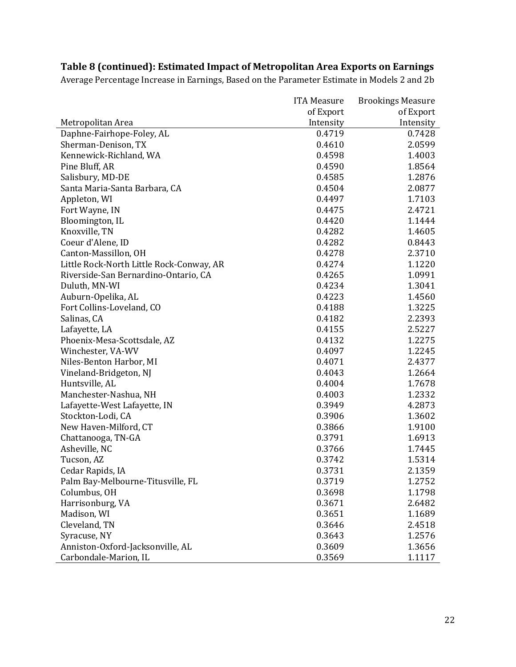|                                          | <b>ITA Measure</b> | <b>Brookings Measure</b> |
|------------------------------------------|--------------------|--------------------------|
|                                          | of Export          | of Export                |
| Metropolitan Area                        | Intensity          | Intensity                |
| Daphne-Fairhope-Foley, AL                | 0.4719             | 0.7428                   |
| Sherman-Denison, TX                      | 0.4610             | 2.0599                   |
| Kennewick-Richland, WA                   | 0.4598             | 1.4003                   |
| Pine Bluff, AR                           | 0.4590             | 1.8564                   |
| Salisbury, MD-DE                         | 0.4585             | 1.2876                   |
| Santa Maria-Santa Barbara, CA            | 0.4504             | 2.0877                   |
| Appleton, WI                             | 0.4497             | 1.7103                   |
| Fort Wayne, IN                           | 0.4475             | 2.4721                   |
| Bloomington, IL                          | 0.4420             | 1.1444                   |
| Knoxville, TN                            | 0.4282             | 1.4605                   |
| Coeur d'Alene, ID                        | 0.4282             | 0.8443                   |
| Canton-Massillon, OH                     | 0.4278             | 2.3710                   |
| Little Rock-North Little Rock-Conway, AR | 0.4274             | 1.1220                   |
| Riverside-San Bernardino-Ontario, CA     | 0.4265             | 1.0991                   |
| Duluth, MN-WI                            | 0.4234             | 1.3041                   |
| Auburn-Opelika, AL                       | 0.4223             | 1.4560                   |
| Fort Collins-Loveland, CO                | 0.4188             | 1.3225                   |
| Salinas, CA                              | 0.4182             | 2.2393                   |
| Lafayette, LA                            | 0.4155             | 2.5227                   |
| Phoenix-Mesa-Scottsdale, AZ              | 0.4132             | 1.2275                   |
| Winchester, VA-WV                        | 0.4097             | 1.2245                   |
| Niles-Benton Harbor, MI                  | 0.4071             | 2.4377                   |
| Vineland-Bridgeton, NJ                   | 0.4043             | 1.2664                   |
| Huntsville, AL                           | 0.4004             | 1.7678                   |
| Manchester-Nashua, NH                    | 0.4003             | 1.2332                   |
| Lafayette-West Lafayette, IN             | 0.3949             | 4.2873                   |
| Stockton-Lodi, CA                        | 0.3906             | 1.3602                   |
| New Haven-Milford, CT                    | 0.3866             | 1.9100                   |
| Chattanooga, TN-GA                       | 0.3791             | 1.6913                   |
| Asheville, NC                            | 0.3766             | 1.7445                   |
| Tucson, AZ                               | 0.3742             | 1.5314                   |
| Cedar Rapids, IA                         | 0.3731             | 2.1359                   |
| Palm Bay-Melbourne-Titusville, FL        | 0.3719             | 1.2752                   |
| Columbus, OH                             | 0.3698             | 1.1798                   |
| Harrisonburg, VA                         | 0.3671             | 2.6482                   |
| Madison, WI                              | 0.3651             | 1.1689                   |
| Cleveland, TN                            | 0.3646             | 2.4518                   |
| Syracuse, NY                             | 0.3643             | 1.2576                   |
| Anniston-Oxford-Jacksonville, AL         | 0.3609             | 1.3656                   |
| Carbondale-Marion, IL                    | 0.3569             | 1.1117                   |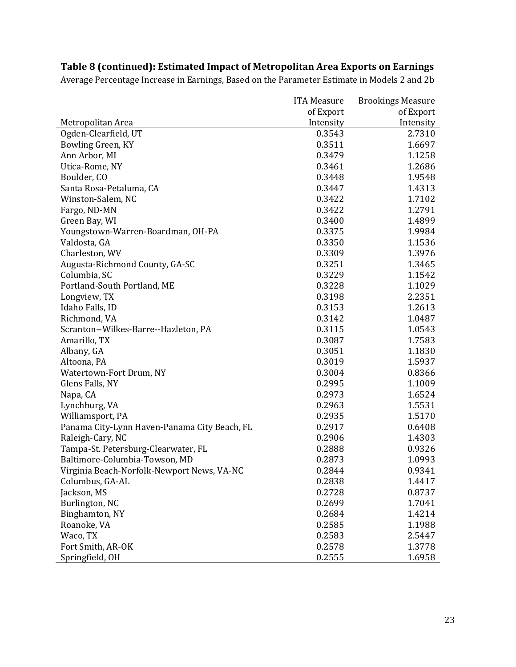|                                              | <b>ITA Measure</b> | <b>Brookings Measure</b> |
|----------------------------------------------|--------------------|--------------------------|
|                                              | of Export          | of Export                |
| Metropolitan Area                            | Intensity          | Intensity                |
| Ogden-Clearfield, UT                         | 0.3543             | 2.7310                   |
| Bowling Green, KY                            | 0.3511             | 1.6697                   |
| Ann Arbor, MI                                | 0.3479             | 1.1258                   |
| Utica-Rome, NY                               | 0.3461             | 1.2686                   |
| Boulder, CO                                  | 0.3448             | 1.9548                   |
| Santa Rosa-Petaluma, CA                      | 0.3447             | 1.4313                   |
| Winston-Salem, NC                            | 0.3422             | 1.7102                   |
| Fargo, ND-MN                                 | 0.3422             | 1.2791                   |
| Green Bay, WI                                | 0.3400             | 1.4899                   |
| Youngstown-Warren-Boardman, OH-PA            | 0.3375             | 1.9984                   |
| Valdosta, GA                                 | 0.3350             | 1.1536                   |
| Charleston, WV                               | 0.3309             | 1.3976                   |
| Augusta-Richmond County, GA-SC               | 0.3251             | 1.3465                   |
| Columbia, SC                                 | 0.3229             | 1.1542                   |
| Portland-South Portland, ME                  | 0.3228             | 1.1029                   |
| Longview, TX                                 | 0.3198             | 2.2351                   |
| Idaho Falls, ID                              | 0.3153             | 1.2613                   |
| Richmond, VA                                 | 0.3142             | 1.0487                   |
| Scranton--Wilkes-Barre--Hazleton, PA         | 0.3115             | 1.0543                   |
| Amarillo, TX                                 | 0.3087             | 1.7583                   |
| Albany, GA                                   | 0.3051             | 1.1830                   |
| Altoona, PA                                  | 0.3019             | 1.5937                   |
| Watertown-Fort Drum, NY                      | 0.3004             | 0.8366                   |
| Glens Falls, NY                              | 0.2995             | 1.1009                   |
| Napa, CA                                     | 0.2973             | 1.6524                   |
| Lynchburg, VA                                | 0.2963             | 1.5531                   |
| Williamsport, PA                             | 0.2935             | 1.5170                   |
| Panama City-Lynn Haven-Panama City Beach, FL | 0.2917             | 0.6408                   |
| Raleigh-Cary, NC                             | 0.2906             | 1.4303                   |
| Tampa-St. Petersburg-Clearwater, FL          | 0.2888             | 0.9326                   |
| Baltimore-Columbia-Towson, MD                | 0.2873             | 1.0993                   |
| Virginia Beach-Norfolk-Newport News, VA-NC   | 0.2844             | 0.9341                   |
| Columbus, GA-AL                              | 0.2838             | 1.4417                   |
| Jackson, MS                                  | 0.2728             | 0.8737                   |
| Burlington, NC                               | 0.2699             | 1.7041                   |
| Binghamton, NY                               | 0.2684             | 1.4214                   |
| Roanoke, VA                                  | 0.2585             | 1.1988                   |
| Waco, TX                                     | 0.2583             | 2.5447                   |
| Fort Smith, AR-OK                            | 0.2578             | 1.3778                   |
| Springfield, OH                              | 0.2555             | 1.6958                   |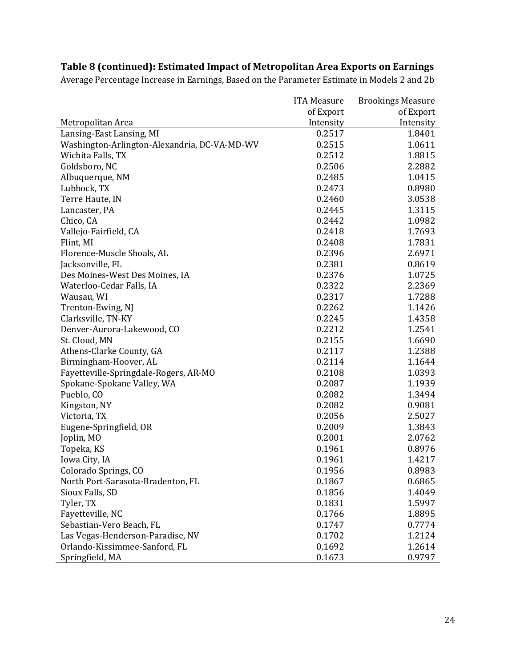|                                              | <b>ITA Measure</b> | <b>Brookings Measure</b> |
|----------------------------------------------|--------------------|--------------------------|
|                                              | of Export          | of Export                |
| Metropolitan Area                            | Intensity          | Intensity                |
| Lansing-East Lansing, MI                     | 0.2517             | 1.8401                   |
| Washington-Arlington-Alexandria, DC-VA-MD-WV | 0.2515             | 1.0611                   |
| Wichita Falls, TX                            | 0.2512             | 1.8815                   |
| Goldsboro, NC                                | 0.2506             | 2.2882                   |
| Albuquerque, NM                              | 0.2485             | 1.0415                   |
| Lubbock, TX                                  | 0.2473             | 0.8980                   |
| Terre Haute, IN                              | 0.2460             | 3.0538                   |
| Lancaster, PA                                | 0.2445             | 1.3115                   |
| Chico, CA                                    | 0.2442             | 1.0982                   |
| Vallejo-Fairfield, CA                        | 0.2418             | 1.7693                   |
| Flint, MI                                    | 0.2408             | 1.7831                   |
| Florence-Muscle Shoals, AL                   | 0.2396             | 2.6971                   |
| Jacksonville, FL                             | 0.2381             | 0.8619                   |
| Des Moines-West Des Moines, IA               | 0.2376             | 1.0725                   |
| Waterloo-Cedar Falls, IA                     | 0.2322             | 2.2369                   |
| Wausau, WI                                   | 0.2317             | 1.7288                   |
| Trenton-Ewing, NJ                            | 0.2262             | 1.1426                   |
| Clarksville, TN-KY                           | 0.2245             | 1.4358                   |
| Denver-Aurora-Lakewood, CO                   | 0.2212             | 1.2541                   |
| St. Cloud, MN                                | 0.2155             | 1.6690                   |
| Athens-Clarke County, GA                     | 0.2117             | 1.2388                   |
| Birmingham-Hoover, AL                        | 0.2114             | 1.1644                   |
| Fayetteville-Springdale-Rogers, AR-MO        | 0.2108             | 1.0393                   |
| Spokane-Spokane Valley, WA                   | 0.2087             | 1.1939                   |
| Pueblo, CO                                   | 0.2082             | 1.3494                   |
| Kingston, NY                                 | 0.2082             | 0.9081                   |
| Victoria, TX                                 | 0.2056             | 2.5027                   |
| Eugene-Springfield, OR                       | 0.2009             | 1.3843                   |
| Joplin, MO                                   | 0.2001             | 2.0762                   |
| Topeka, KS                                   | 0.1961             | 0.8976                   |
| Iowa City, IA                                | 0.1961             | 1.4217                   |
| Colorado Springs, CO                         | 0.1956             | 0.8983                   |
| North Port-Sarasota-Bradenton, FL            | 0.1867             | 0.6865                   |
| Sioux Falls, SD                              | 0.1856             | 1.4049                   |
| Tyler, TX                                    | 0.1831             | 1.5997                   |
| Fayetteville, NC                             | 0.1766             | 1.8895                   |
| Sebastian-Vero Beach, FL                     | 0.1747             | 0.7774                   |
| Las Vegas-Henderson-Paradise, NV             | 0.1702             | 1.2124                   |
| Orlando-Kissimmee-Sanford, FL                | 0.1692             | 1.2614                   |
| Springfield, MA                              | 0.1673             | 0.9797                   |